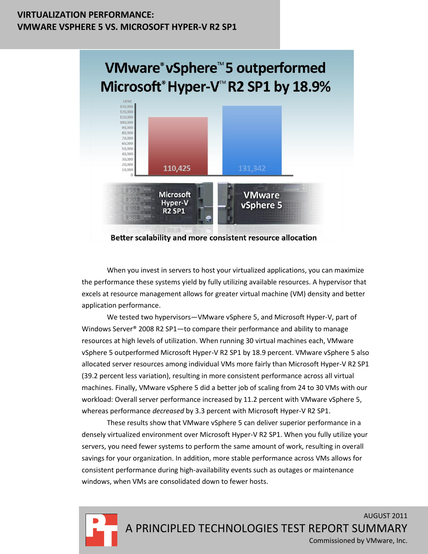### **VIRTUALIZATION PERFORMANCE: VMWARE VSPHERE 5 VS. MICROSOFT HYPER-V R2 SP1**



Better scalability and more consistent resource allocation

When you invest in servers to host your virtualized applications, you can maximize the performance these systems yield by fully utilizing available resources. A hypervisor that excels at resource management allows for greater virtual machine (VM) density and better application performance.

We tested two hypervisors—VMware vSphere 5, and Microsoft Hyper-V, part of Windows Server® 2008 R2 SP1—to compare their performance and ability to manage resources at high levels of utilization. When running 30 virtual machines each, VMware vSphere 5 outperformed Microsoft Hyper-V R2 SP1 by 18.9 percent. VMware vSphere 5 also allocated server resources among individual VMs more fairly than Microsoft Hyper-V R2 SP1 (39.2 percent less variation), resulting in more consistent performance across all virtual machines. Finally, VMware vSphere 5 did a better job of scaling from 24 to 30 VMs with our workload: Overall server performance increased by 11.2 percent with VMware vSphere 5, whereas performance *decreased* by 3.3 percent with Microsoft Hyper-V R2 SP1.

These results show that VMware vSphere 5 can deliver superior performance in a densely virtualized environment over Microsoft Hyper-V R2 SP1. When you fully utilize your servers, you need fewer systems to perform the same amount of work, resulting in overall savings for your organization. In addition, more stable performance across VMs allows for consistent performance during high-availability events such as outages or maintenance windows, when VMs are consolidated down to fewer hosts.



AUGUST 2011 A PRINCIPLED TECHNOLOGIES TEST REPORT SUMMARY Commissioned by VMware, Inc.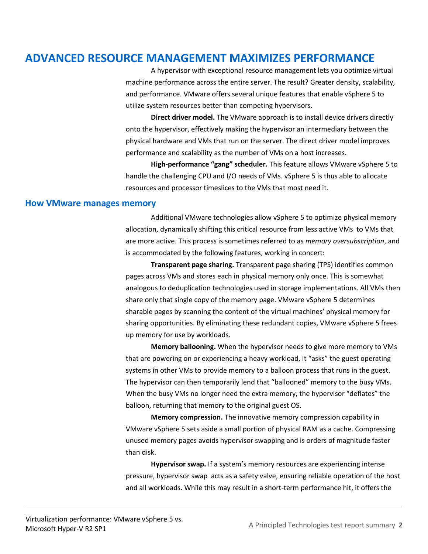## **ADVANCED RESOURCE MANAGEMENT MAXIMIZES PERFORMANCE**

A hypervisor with exceptional resource management lets you optimize virtual machine performance across the entire server. The result? Greater density, scalability, and performance. VMware offers several unique features that enable vSphere 5 to utilize system resources better than competing hypervisors.

**Direct driver model.** The VMware approach is to install device drivers directly onto the hypervisor, effectively making the hypervisor an intermediary between the physical hardware and VMs that run on the server. The direct driver model improves performance and scalability as the number of VMs on a host increases.

**High-performance "gang" scheduler.** This feature allows VMware vSphere 5 to handle the challenging CPU and I/O needs of VMs. vSphere 5 is thus able to allocate resources and processor timeslices to the VMs that most need it.

#### **How VMware manages memory**

Additional VMware technologies allow vSphere 5 to optimize physical memory allocation, dynamically shifting this critical resource from less active VMs to VMs that are more active. This process is sometimes referred to as *memory oversubscription*, and is accommodated by the following features, working in concert:

**Transparent page sharing.** Transparent page sharing (TPS) identifies common pages across VMs and stores each in physical memory only once. This is somewhat analogous to deduplication technologies used in storage implementations. All VMs then share only that single copy of the memory page. VMware vSphere 5 determines sharable pages by scanning the content of the virtual machines' physical memory for sharing opportunities. By eliminating these redundant copies, VMware vSphere 5 frees up memory for use by workloads.

**Memory ballooning.** When the hypervisor needs to give more memory to VMs that are powering on or experiencing a heavy workload, it "asks" the guest operating systems in other VMs to provide memory to a balloon process that runs in the guest. The hypervisor can then temporarily lend that "ballooned" memory to the busy VMs. When the busy VMs no longer need the extra memory, the hypervisor "deflates" the balloon, returning that memory to the original guest OS.

**Memory compression.** The innovative memory compression capability in VMware vSphere 5 sets aside a small portion of physical RAM as a cache. Compressing unused memory pages avoids hypervisor swapping and is orders of magnitude faster than disk.

**Hypervisor swap.** If a system's memory resources are experiencing intense pressure, hypervisor swap acts as a safety valve, ensuring reliable operation of the host and all workloads. While this may result in a short-term performance hit, it offers the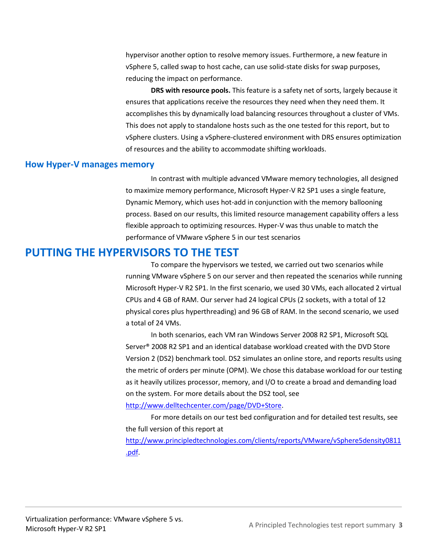hypervisor another option to resolve memory issues. Furthermore, a new feature in vSphere 5, called swap to host cache, can use solid-state disks for swap purposes, reducing the impact on performance.

**DRS with resource pools.** This feature is a safety net of sorts, largely because it ensures that applications receive the resources they need when they need them. It accomplishes this by dynamically load balancing resources throughout a cluster of VMs. This does not apply to standalone hosts such as the one tested for this report, but to vSphere clusters. Using a vSphere-clustered environment with DRS ensures optimization of resources and the ability to accommodate shifting workloads.

### **How Hyper-V manages memory**

In contrast with multiple advanced VMware memory technologies, all designed to maximize memory performance, Microsoft Hyper-V R2 SP1 uses a single feature, Dynamic Memory, which uses hot-add in conjunction with the memory ballooning process. Based on our results, this limited resource management capability offers a less flexible approach to optimizing resources. Hyper-V was thus unable to match the performance of VMware vSphere 5 in our test scenarios

### **PUTTING THE HYPERVISORS TO THE TEST**

To compare the hypervisors we tested, we carried out two scenarios while running VMware vSphere 5 on our server and then repeated the scenarios while running Microsoft Hyper-V R2 SP1. In the first scenario, we used 30 VMs, each allocated 2 virtual CPUs and 4 GB of RAM. Our server had 24 logical CPUs (2 sockets, with a total of 12 physical cores plus hyperthreading) and 96 GB of RAM. In the second scenario, we used a total of 24 VMs.

In both scenarios, each VM ran Windows Server 2008 R2 SP1, Microsoft SQL Server® 2008 R2 SP1 and an identical database workload created with the DVD Store Version 2 (DS2) benchmark tool. DS2 simulates an online store, and reports results using the metric of orders per minute (OPM). We chose this database workload for our testing as it heavily utilizes processor, memory, and I/O to create a broad and demanding load on the system. For more details about the DS2 tool, see

#### [http://www.delltechcenter.com/page/DVD+Store.](http://www.delltechcenter.com/page/DVD+Store)

For more details on our test bed configuration and for detailed test results, see the full version of this report at [http://www.principledtechnologies.com/clients/reports/VMware/vSphere5density0811](http://www.principledtechnologies.com/clients/reports/VMware/vSphere5density0811.pdf) [.pdf.](http://www.principledtechnologies.com/clients/reports/VMware/vSphere5density0811.pdf)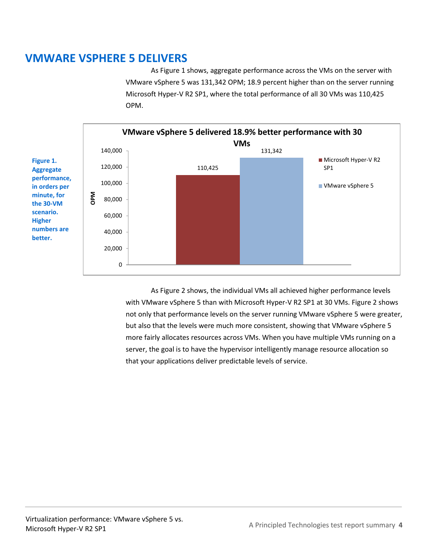## **VMWARE VSPHERE 5 DELIVERS**

As Figure 1 shows, aggregate performance across the VMs on the server with VMware vSphere 5 was 131,342 OPM; 18.9 percent higher than on the server running Microsoft Hyper-V R2 SP1, where the total performance of all 30 VMs was 110,425 OPM.



As Figure 2 shows, the individual VMs all achieved higher performance levels with VMware vSphere 5 than with Microsoft Hyper-V R2 SP1 at 30 VMs. Figure 2 shows not only that performance levels on the server running VMware vSphere 5 were greater, but also that the levels were much more consistent, showing that VMware vSphere 5 more fairly allocates resources across VMs. When you have multiple VMs running on a server, the goal is to have the hypervisor intelligently manage resource allocation so that your applications deliver predictable levels of service.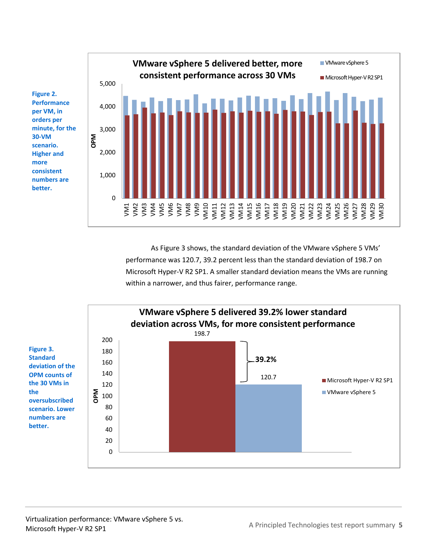

As Figure 3 shows, the standard deviation of the VMware vSphere 5 VMs' performance was 120.7, 39.2 percent less than the standard deviation of 198.7 on Microsoft Hyper-V R2 SP1. A smaller standard deviation means the VMs are running within a narrower, and thus fairer, performance range.

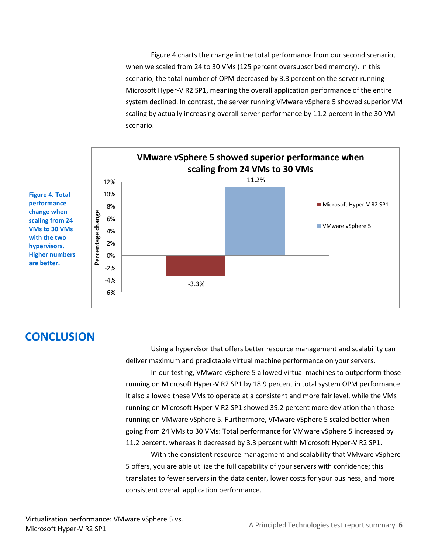Figure 4 charts the change in the total performance from our second scenario, when we scaled from 24 to 30 VMs (125 percent oversubscribed memory). In this scenario, the total number of OPM decreased by 3.3 percent on the server running Microsoft Hyper-V R2 SP1, meaning the overall application performance of the entire system declined. In contrast, the server running VMware vSphere 5 showed superior VM scaling by actually increasing overall server performance by 11.2 percent in the 30-VM scenario.



# **CONCLUSION**

Using a hypervisor that offers better resource management and scalability can deliver maximum and predictable virtual machine performance on your servers.

In our testing, VMware vSphere 5 allowed virtual machines to outperform those running on Microsoft Hyper-V R2 SP1 by 18.9 percent in total system OPM performance. It also allowed these VMs to operate at a consistent and more fair level, while the VMs running on Microsoft Hyper-V R2 SP1 showed 39.2 percent more deviation than those running on VMware vSphere 5. Furthermore, VMware vSphere 5 scaled better when going from 24 VMs to 30 VMs: Total performance for VMware vSphere 5 increased by 11.2 percent, whereas it decreased by 3.3 percent with Microsoft Hyper-V R2 SP1.

With the consistent resource management and scalability that VMware vSphere 5 offers, you are able utilize the full capability of your servers with confidence; this translates to fewer servers in the data center, lower costs for your business, and more consistent overall application performance.